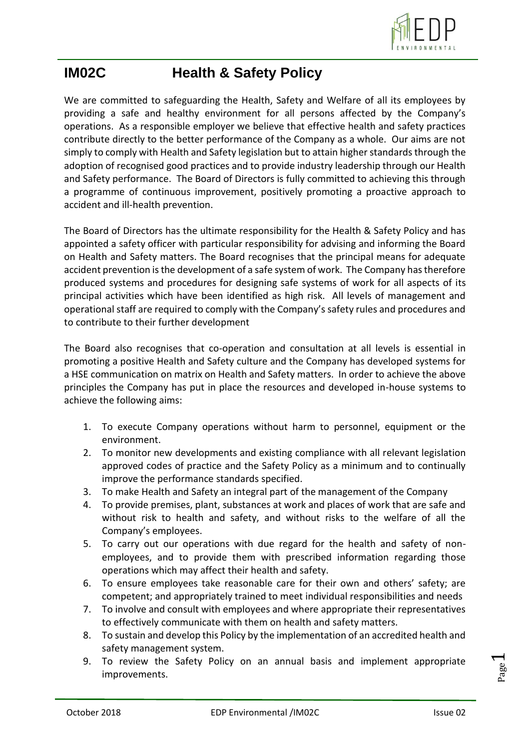

## **IM02C Health & Safety Policy**

We are committed to safeguarding the Health, Safety and Welfare of all its employees by providing a safe and healthy environment for all persons affected by the Company's operations. As a responsible employer we believe that effective health and safety practices contribute directly to the better performance of the Company as a whole. Our aims are not simply to comply with Health and Safety legislation but to attain higher standards through the adoption of recognised good practices and to provide industry leadership through our Health and Safety performance. The Board of Directors is fully committed to achieving this through a programme of continuous improvement, positively promoting a proactive approach to accident and ill-health prevention.

The Board of Directors has the ultimate responsibility for the Health & Safety Policy and has appointed a safety officer with particular responsibility for advising and informing the Board on Health and Safety matters. The Board recognises that the principal means for adequate accident prevention is the development of a safe system of work. The Company has therefore produced systems and procedures for designing safe systems of work for all aspects of its principal activities which have been identified as high risk. All levels of management and operational staff are required to comply with the Company's safety rules and procedures and to contribute to their further development

The Board also recognises that co-operation and consultation at all levels is essential in promoting a positive Health and Safety culture and the Company has developed systems for a HSE communication on matrix on Health and Safety matters. In order to achieve the above principles the Company has put in place the resources and developed in-house systems to achieve the following aims:

- 1. To execute Company operations without harm to personnel, equipment or the environment.
- 2. To monitor new developments and existing compliance with all relevant legislation approved codes of practice and the Safety Policy as a minimum and to continually improve the performance standards specified.
- 3. To make Health and Safety an integral part of the management of the Company
- 4. To provide premises, plant, substances at work and places of work that are safe and without risk to health and safety, and without risks to the welfare of all the Company's employees.
- 5. To carry out our operations with due regard for the health and safety of nonemployees, and to provide them with prescribed information regarding those operations which may affect their health and safety.
- 6. To ensure employees take reasonable care for their own and others' safety; are competent; and appropriately trained to meet individual responsibilities and needs
- 7. To involve and consult with employees and where appropriate their representatives to effectively communicate with them on health and safety matters.
- 8. To sustain and develop this Policy by the implementation of an accredited health and safety management system.
- 9. To review the Safety Policy on an annual basis and implement appropriate improvements.

Page  $\overline{\phantom{0}}$